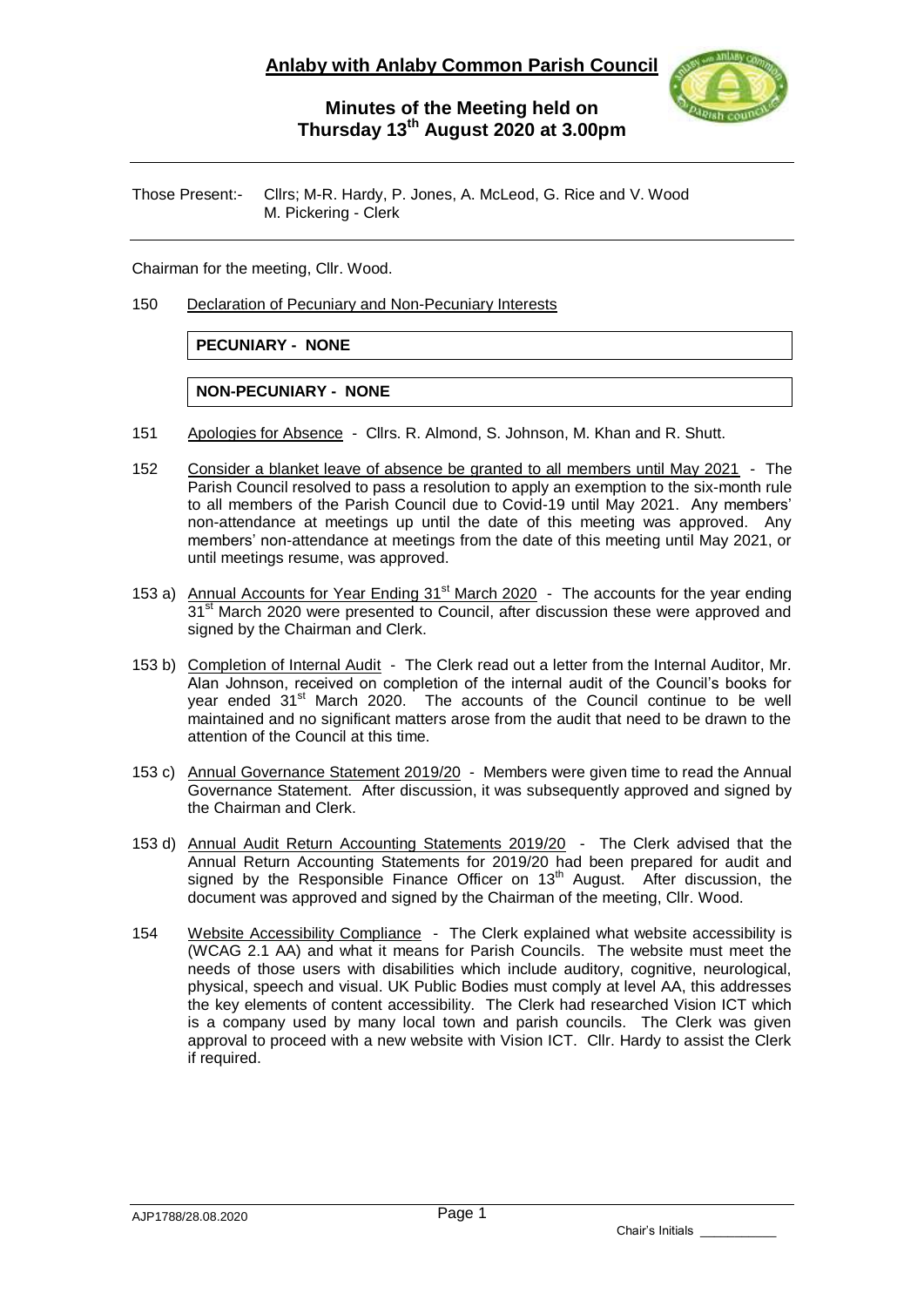

## **Minutes of the Meeting held on Thursday 13 th August 2020 at 3.00pm**

Those Present:- Cllrs; M-R. Hardy, P. Jones, A. McLeod, G. Rice and V. Wood M. Pickering - Clerk

Chairman for the meeting, Cllr. Wood.

150 Declaration of Pecuniary and Non-Pecuniary Interests

## **PECUNIARY - NONE**

## **NON-PECUNIARY - NONE**

- 151 Apologies for Absence Cllrs. R. Almond, S. Johnson, M. Khan and R. Shutt.
- 152 Consider a blanket leave of absence be granted to all members until May 2021 The Parish Council resolved to pass a resolution to apply an exemption to the six-month rule to all members of the Parish Council due to Covid-19 until May 2021. Any members' non-attendance at meetings up until the date of this meeting was approved. Any members' non-attendance at meetings from the date of this meeting until May 2021, or until meetings resume, was approved.
- 153 a) Annual Accounts for Year Ending 31<sup>st</sup> March 2020 The accounts for the year ending 31<sup>st</sup> March 2020 were presented to Council, after discussion these were approved and signed by the Chairman and Clerk.
- 153 b) Completion of Internal Audit The Clerk read out a letter from the Internal Auditor, Mr. Alan Johnson, received on completion of the internal audit of the Council's books for year ended  $31<sup>st</sup>$  March 2020. The accounts of the Council continue to be well maintained and no significant matters arose from the audit that need to be drawn to the attention of the Council at this time.
- 153 c) Annual Governance Statement 2019/20 Members were given time to read the Annual Governance Statement. After discussion, it was subsequently approved and signed by the Chairman and Clerk.
- 153 d) Annual Audit Return Accounting Statements 2019/20 The Clerk advised that the Annual Return Accounting Statements for 2019/20 had been prepared for audit and signed by the Responsible Finance Officer on  $13<sup>th</sup>$  August. After discussion, the document was approved and signed by the Chairman of the meeting, Cllr. Wood.
- 154 Website Accessibility Compliance The Clerk explained what website accessibility is (WCAG 2.1 AA) and what it means for Parish Councils. The website must meet the needs of those users with disabilities which include auditory, cognitive, neurological, physical, speech and visual. UK Public Bodies must comply at level AA, this addresses the key elements of content accessibility. The Clerk had researched Vision ICT which is a company used by many local town and parish councils. The Clerk was given approval to proceed with a new website with Vision ICT. Cllr. Hardy to assist the Clerk if required.

Chair's Initials \_\_\_\_\_\_\_\_\_\_\_